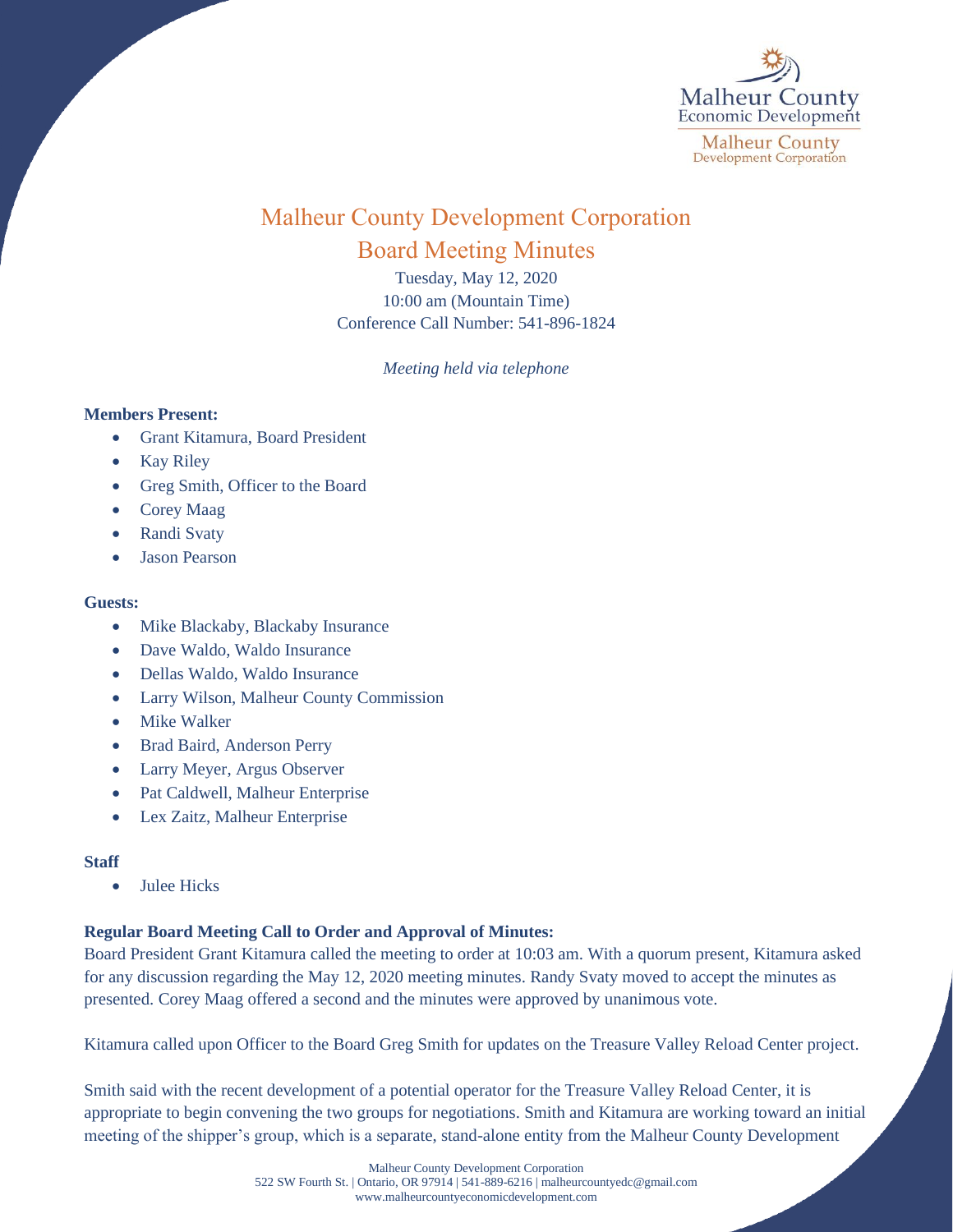

# Malheur County Development Corporation Board Meeting Minutes

Tuesday, May 12, 2020 10:00 am (Mountain Time) Conference Call Number: 541-896-1824

*Meeting held via telephone*

### **Members Present:**

- Grant Kitamura, Board President
- Kay Riley
- Greg Smith, Officer to the Board
- Corey Maag
- Randi Svaty
- Jason Pearson

#### **Guests:**

- Mike Blackaby, Blackaby Insurance
- Dave Waldo, Waldo Insurance
- Dellas Waldo, Waldo Insurance
- Larry Wilson, Malheur County Commission
- Mike Walker
- Brad Baird, Anderson Perry
- Larry Meyer, Argus Observer
- Pat Caldwell, Malheur Enterprise
- Lex Zaitz, Malheur Enterprise

#### **Staff**

• Julee Hicks

## **Regular Board Meeting Call to Order and Approval of Minutes:**

Board President Grant Kitamura called the meeting to order at 10:03 am. With a quorum present, Kitamura asked for any discussion regarding the May 12, 2020 meeting minutes. Randy Svaty moved to accept the minutes as presented. Corey Maag offered a second and the minutes were approved by unanimous vote.

Kitamura called upon Officer to the Board Greg Smith for updates on the Treasure Valley Reload Center project.

Smith said with the recent development of a potential operator for the Treasure Valley Reload Center, it is appropriate to begin convening the two groups for negotiations. Smith and Kitamura are working toward an initial meeting of the shipper's group, which is a separate, stand-alone entity from the Malheur County Development